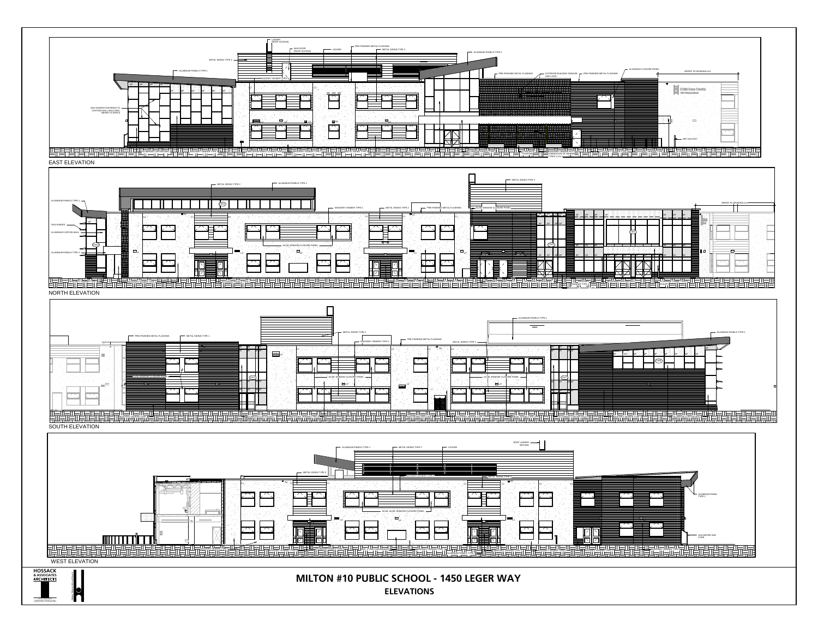